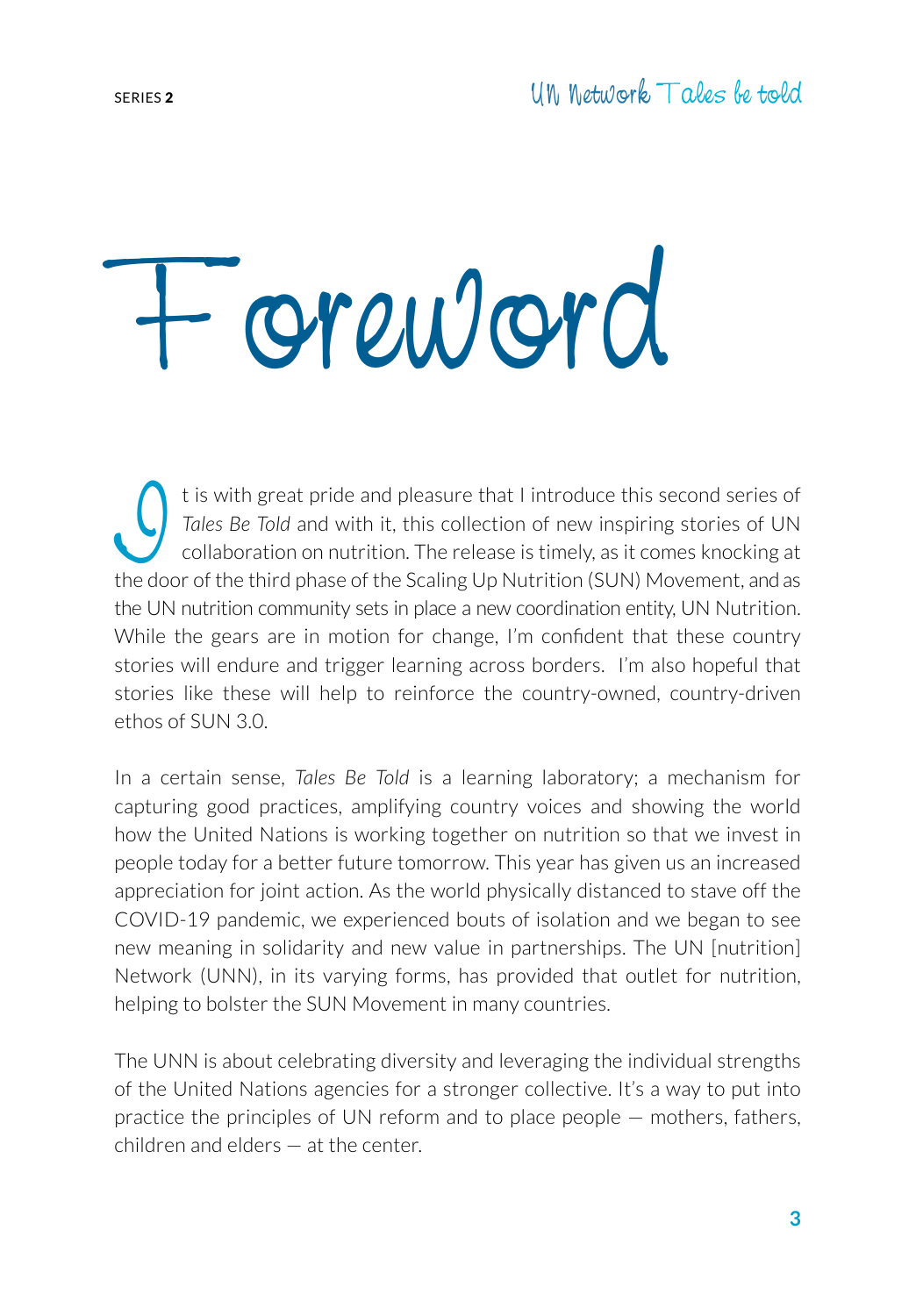## Foreword

It is with great pride and pleasure that I introduce this second series of<br>Tales Be Told and with it, this collection of new inspiring stories of UN<br>collaboration on nutrition. The release is timely, as it comes knocking a *Tales Be Told* and with it, this collection of new inspiring stories of UN collaboration on nutrition. The release is timely, as it comes knocking at the door of the third phase of the Scaling Up Nutrition (SUN) Movement, and as the UN nutrition community sets in place a new coordination entity, UN Nutrition. While the gears are in motion for change, I'm confident that these country stories will endure and trigger learning across borders. I'm also hopeful that stories like these will help to reinforce the country-owned, country-driven ethos of SUN 3.0.

In a certain sense, *Tales Be Told* is a learning laboratory; a mechanism for capturing good practices, amplifying country voices and showing the world how the United Nations is working together on nutrition so that we invest in people today for a better future tomorrow. This year has given us an increased appreciation for joint action. As the world physically distanced to stave off the COVID-19 pandemic, we experienced bouts of isolation and we began to see new meaning in solidarity and new value in partnerships. The UN [nutrition] Network (UNN), in its varying forms, has provided that outlet for nutrition, helping to bolster the SUN Movement in many countries.

The UNN is about celebrating diversity and leveraging the individual strengths of the United Nations agencies for a stronger collective. It's a way to put into practice the principles of UN reform and to place people — mothers, fathers, children and elders — at the center.